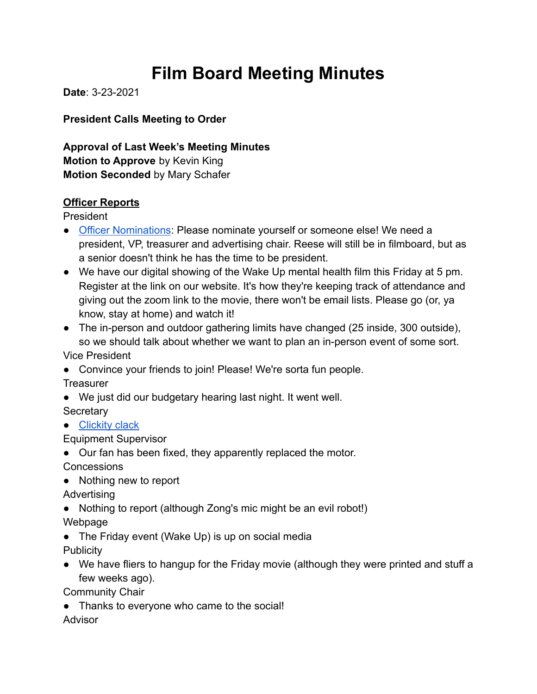# **Film Board Meeting Minutes**

**Date**: 3-23-2021

**President Calls Meeting to Order**

**Approval of Last Week's Meeting Minutes Motion to Approve** by Kevin King **Motion Seconded** by Mary Schafer

#### **Officer Reports**

President

- [Officer Nominations](https://docs.google.com/forms/d/e/1FAIpQLSe1ZKLNViL19eGLf2_UIKfHBBWqbG2qIXqOirmwcdK8aLheKQ/viewform): Please nominate yourself or someone else! We need a president, VP, treasurer and advertising chair. Reese will still be in filmboard, but as a senior doesn't think he has the time to be president.
- We have our digital showing of the Wake Up mental health film this Friday at 5 pm. Register at the link on our website. It's how they're keeping track of attendance and giving out the zoom link to the movie, there won't be email lists. Please go (or, ya know, stay at home) and watch it!
- The in-person and outdoor gathering limits have changed (25 inside, 300 outside), so we should talk about whether we want to plan an in-person event of some sort.

Vice President

● Convince your friends to join! Please! We're sorta fun people.

**Treasurer** 

● We just did our budgetary hearing last night. It went well.

**Secretary** 

● [Clickity clack](https://www.akc.org/expert-advice/lifestyle/cute-puppies/)

Equipment Supervisor

● Our fan has been fixed, they apparently replaced the motor.

**Concessions** 

• Nothing new to report

Advertising

● Nothing to report (although Zong's mic might be an evil robot!)

Webpage

• The Friday event (Wake Up) is up on social media

**Publicity** 

● We have fliers to hangup for the Friday movie (although they were printed and stuff a few weeks ago).

Community Chair

• Thanks to everyone who came to the social!

Advisor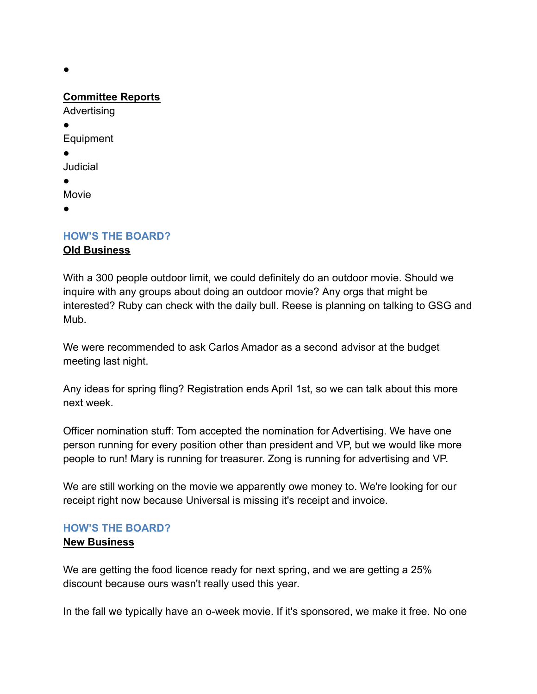●

### **Committee Reports**

Advertising

● Equipment

●

Judicial

●

Movie

●

# **HOW'S THE BOARD?**

# **Old Business**

With a 300 people outdoor limit, we could definitely do an outdoor movie. Should we inquire with any groups about doing an outdoor movie? Any orgs that might be interested? Ruby can check with the daily bull. Reese is planning on talking to GSG and Mub.

We were recommended to ask Carlos Amador as a second advisor at the budget meeting last night.

Any ideas for spring fling? Registration ends April 1st, so we can talk about this more next week.

Officer nomination stuff: Tom accepted the nomination for Advertising. We have one person running for every position other than president and VP, but we would like more people to run! Mary is running for treasurer. Zong is running for advertising and VP.

We are still working on the movie we apparently owe money to. We're looking for our receipt right now because Universal is missing it's receipt and invoice.

# **HOW'S THE BOARD?**

### **New Business**

We are getting the food licence ready for next spring, and we are getting a 25% discount because ours wasn't really used this year.

In the fall we typically have an o-week movie. If it's sponsored, we make it free. No one